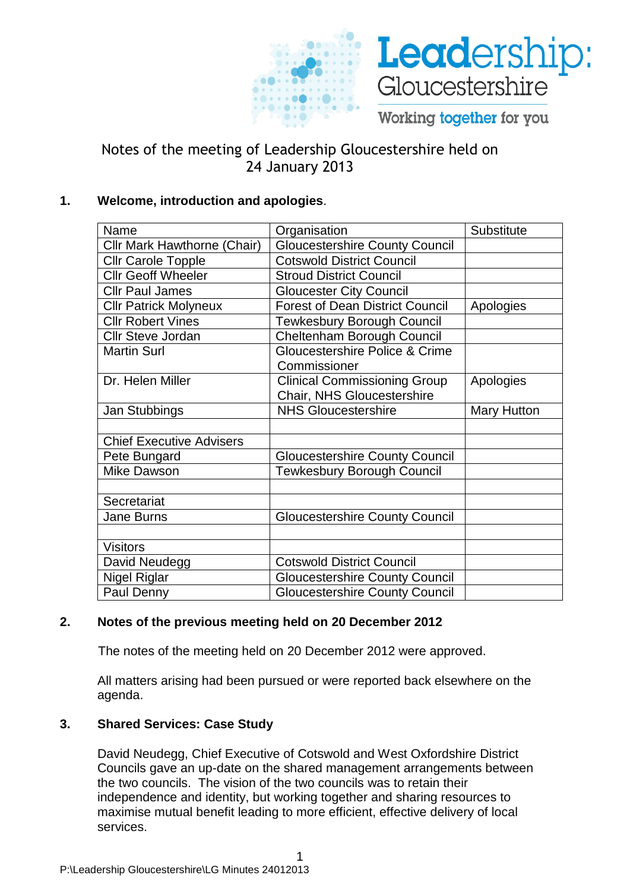



Working together for you

# Notes of the meeting of Leadership Gloucestershire held on 24 January 2013

## **1. Welcome, introduction and apologies**.

| Name                               | Organisation                           | Substitute         |
|------------------------------------|----------------------------------------|--------------------|
| <b>Cllr Mark Hawthorne (Chair)</b> | <b>Gloucestershire County Council</b>  |                    |
| <b>Cllr Carole Topple</b>          | <b>Cotswold District Council</b>       |                    |
| <b>Cllr Geoff Wheeler</b>          | <b>Stroud District Council</b>         |                    |
| <b>Cllr Paul James</b>             | <b>Gloucester City Council</b>         |                    |
| <b>Cllr Patrick Molyneux</b>       | <b>Forest of Dean District Council</b> | Apologies          |
| <b>Cllr Robert Vines</b>           | <b>Tewkesbury Borough Council</b>      |                    |
| <b>Cllr Steve Jordan</b>           | Cheltenham Borough Council             |                    |
| <b>Martin Surl</b>                 | Gloucestershire Police & Crime         |                    |
|                                    | Commissioner                           |                    |
| Dr. Helen Miller                   | <b>Clinical Commissioning Group</b>    | Apologies          |
|                                    | Chair, NHS Gloucestershire             |                    |
| Jan Stubbings                      | <b>NHS Gloucestershire</b>             | <b>Mary Hutton</b> |
|                                    |                                        |                    |
| <b>Chief Executive Advisers</b>    |                                        |                    |
| Pete Bungard                       | <b>Gloucestershire County Council</b>  |                    |
| Mike Dawson                        | <b>Tewkesbury Borough Council</b>      |                    |
|                                    |                                        |                    |
| Secretariat                        |                                        |                    |
| Jane Burns                         | <b>Gloucestershire County Council</b>  |                    |
|                                    |                                        |                    |
| <b>Visitors</b>                    |                                        |                    |
| David Neudegg                      | <b>Cotswold District Council</b>       |                    |
| <b>Nigel Riglar</b>                | <b>Gloucestershire County Council</b>  |                    |
| Paul Denny                         | <b>Gloucestershire County Council</b>  |                    |

## **2. Notes of the previous meeting held on 20 December 2012**

The notes of the meeting held on 20 December 2012 were approved.

All matters arising had been pursued or were reported back elsewhere on the agenda.

## **3. Shared Services: Case Study**

David Neudegg, Chief Executive of Cotswold and West Oxfordshire District Councils gave an up-date on the shared management arrangements between the two councils. The vision of the two councils was to retain their independence and identity, but working together and sharing resources to maximise mutual benefit leading to more efficient, effective delivery of local services.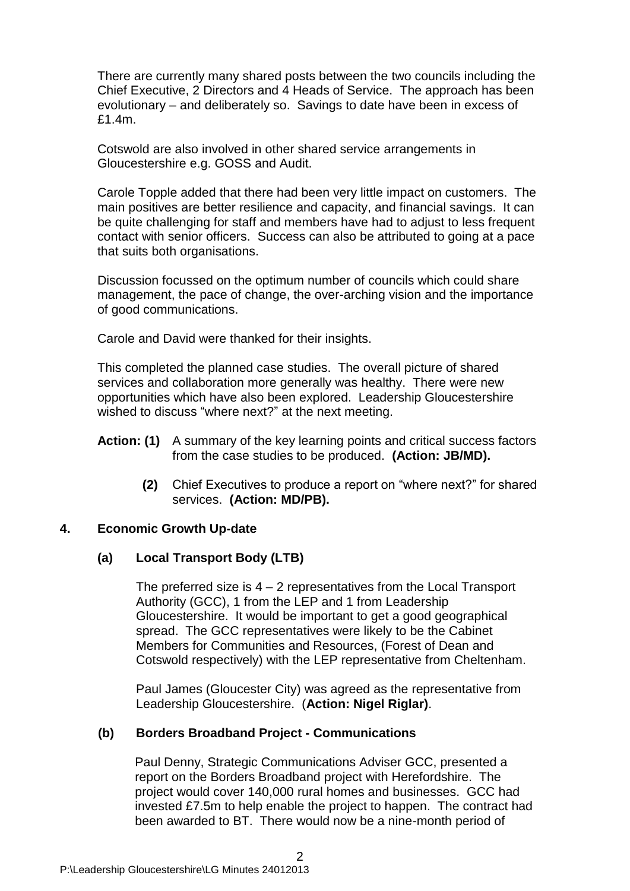There are currently many shared posts between the two councils including the Chief Executive, 2 Directors and 4 Heads of Service. The approach has been evolutionary – and deliberately so. Savings to date have been in excess of £1.4m.

Cotswold are also involved in other shared service arrangements in Gloucestershire e.g. GOSS and Audit.

Carole Topple added that there had been very little impact on customers. The main positives are better resilience and capacity, and financial savings. It can be quite challenging for staff and members have had to adjust to less frequent contact with senior officers. Success can also be attributed to going at a pace that suits both organisations.

Discussion focussed on the optimum number of councils which could share management, the pace of change, the over-arching vision and the importance of good communications.

Carole and David were thanked for their insights.

This completed the planned case studies. The overall picture of shared services and collaboration more generally was healthy. There were new opportunities which have also been explored. Leadership Gloucestershire wished to discuss "where next?" at the next meeting.

- Action: (1) A summary of the key learning points and critical success factors from the case studies to be produced. **(Action: JB/MD).**
	- **(2)** Chief Executives to produce a report on "where next?" for shared services. **(Action: MD/PB).**

#### **4. Economic Growth Up-date**

#### **(a) Local Transport Body (LTB)**

The preferred size is  $4 - 2$  representatives from the Local Transport Authority (GCC), 1 from the LEP and 1 from Leadership Gloucestershire. It would be important to get a good geographical spread. The GCC representatives were likely to be the Cabinet Members for Communities and Resources, (Forest of Dean and Cotswold respectively) with the LEP representative from Cheltenham.

Paul James (Gloucester City) was agreed as the representative from Leadership Gloucestershire. (**Action: Nigel Riglar)**.

#### **(b) Borders Broadband Project - Communications**

Paul Denny, Strategic Communications Adviser GCC, presented a report on the Borders Broadband project with Herefordshire. The project would cover 140,000 rural homes and businesses. GCC had invested £7.5m to help enable the project to happen. The contract had been awarded to BT. There would now be a nine-month period of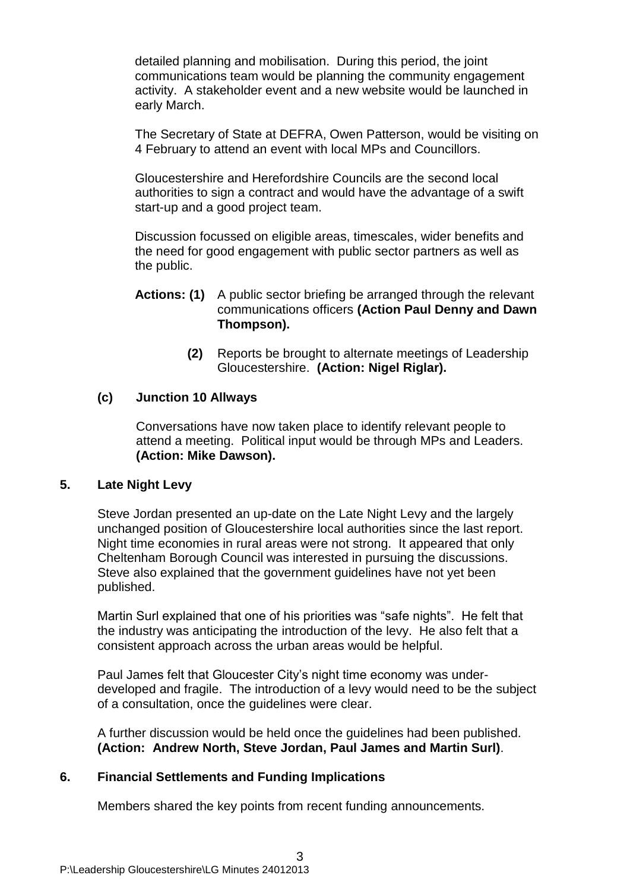detailed planning and mobilisation. During this period, the joint communications team would be planning the community engagement activity. A stakeholder event and a new website would be launched in early March.

The Secretary of State at DEFRA, Owen Patterson, would be visiting on 4 February to attend an event with local MPs and Councillors.

Gloucestershire and Herefordshire Councils are the second local authorities to sign a contract and would have the advantage of a swift start-up and a good project team.

Discussion focussed on eligible areas, timescales, wider benefits and the need for good engagement with public sector partners as well as the public.

#### **Actions: (1)** A public sector briefing be arranged through the relevant communications officers **(Action Paul Denny and Dawn Thompson).**

**(2)** Reports be brought to alternate meetings of Leadership Gloucestershire. **(Action: Nigel Riglar).**

## **(c) Junction 10 Allways**

Conversations have now taken place to identify relevant people to attend a meeting. Political input would be through MPs and Leaders. **(Action: Mike Dawson).**

#### **5. Late Night Levy**

Steve Jordan presented an up-date on the Late Night Levy and the largely unchanged position of Gloucestershire local authorities since the last report. Night time economies in rural areas were not strong. It appeared that only Cheltenham Borough Council was interested in pursuing the discussions. Steve also explained that the government guidelines have not yet been published.

Martin Surl explained that one of his priorities was "safe nights". He felt that the industry was anticipating the introduction of the levy. He also felt that a consistent approach across the urban areas would be helpful.

Paul James felt that Gloucester City's night time economy was underdeveloped and fragile. The introduction of a levy would need to be the subject of a consultation, once the guidelines were clear.

A further discussion would be held once the guidelines had been published. **(Action: Andrew North, Steve Jordan, Paul James and Martin Surl)**.

## **6. Financial Settlements and Funding Implications**

Members shared the key points from recent funding announcements.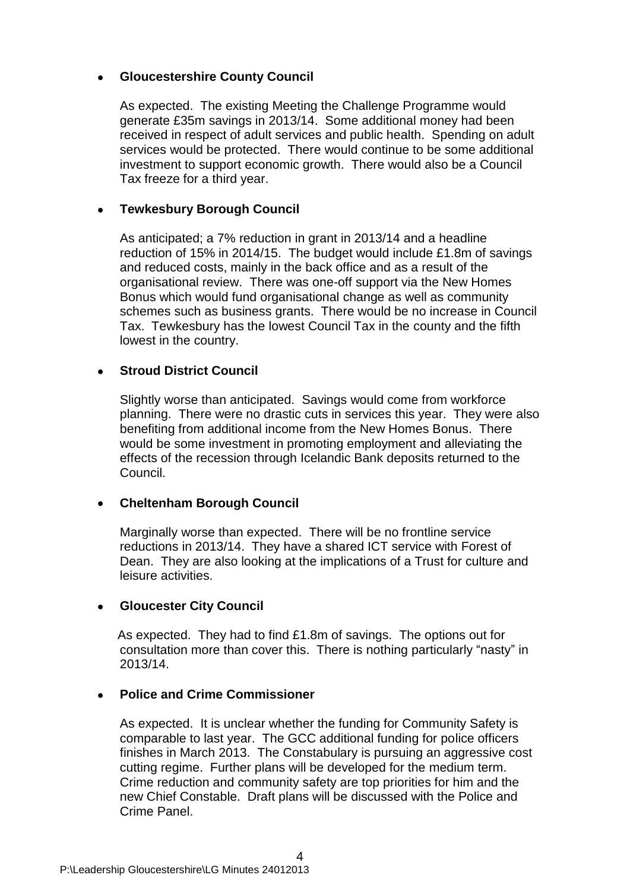## **Gloucestershire County Council**

As expected. The existing Meeting the Challenge Programme would generate £35m savings in 2013/14. Some additional money had been received in respect of adult services and public health. Spending on adult services would be protected. There would continue to be some additional investment to support economic growth. There would also be a Council Tax freeze for a third year.

#### **Tewkesbury Borough Council**  $\bullet$

As anticipated; a 7% reduction in grant in 2013/14 and a headline reduction of 15% in 2014/15. The budget would include £1.8m of savings and reduced costs, mainly in the back office and as a result of the organisational review. There was one-off support via the New Homes Bonus which would fund organisational change as well as community schemes such as business grants. There would be no increase in Council Tax. Tewkesbury has the lowest Council Tax in the county and the fifth lowest in the country.

## **Stroud District Council**

Slightly worse than anticipated. Savings would come from workforce planning. There were no drastic cuts in services this year. They were also benefiting from additional income from the New Homes Bonus. There would be some investment in promoting employment and alleviating the effects of the recession through Icelandic Bank deposits returned to the Council.

#### **Cheltenham Borough Council**

Marginally worse than expected. There will be no frontline service reductions in 2013/14. They have a shared ICT service with Forest of Dean. They are also looking at the implications of a Trust for culture and leisure activities.

#### **Gloucester City Council**

As expected. They had to find £1.8m of savings. The options out for consultation more than cover this. There is nothing particularly "nasty" in 2013/14.

#### **Police and Crime Commissioner**

As expected.It is unclear whether the funding for Community Safety is comparable to last year. The GCC additional funding for police officers finishes in March 2013. The Constabulary is pursuing an aggressive cost cutting regime. Further plans will be developed for the medium term. Crime reduction and community safety are top priorities for him and the new Chief Constable. Draft plans will be discussed with the Police and Crime Panel.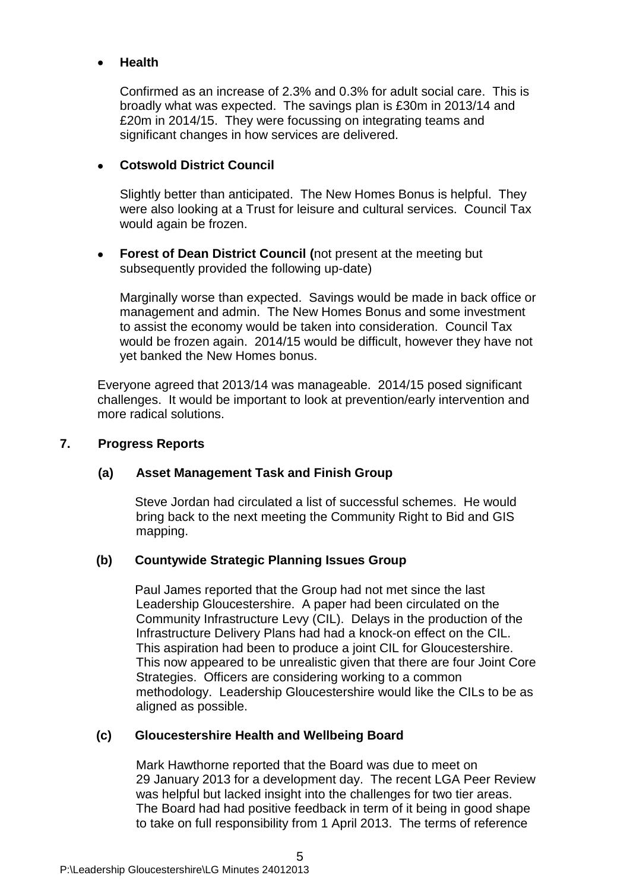## **Health**

Confirmed as an increase of 2.3% and 0.3% for adult social care. This is broadly what was expected. The savings plan is £30m in 2013/14 and £20m in 2014/15. They were focussing on integrating teams and significant changes in how services are delivered.

## **Cotswold District Council**

Slightly better than anticipated. The New Homes Bonus is helpful. They were also looking at a Trust for leisure and cultural services. Council Tax would again be frozen.

**Forest of Dean District Council (**not present at the meeting but  $\bullet$ subsequently provided the following up-date)

Marginally worse than expected. Savings would be made in back office or management and admin. The New Homes Bonus and some investment to assist the economy would be taken into consideration. Council Tax would be frozen again. 2014/15 would be difficult, however they have not yet banked the New Homes bonus.

Everyone agreed that 2013/14 was manageable. 2014/15 posed significant challenges. It would be important to look at prevention/early intervention and more radical solutions.

## **7. Progress Reports**

## **(a) Asset Management Task and Finish Group**

Steve Jordan had circulated a list of successful schemes. He would bring back to the next meeting the Community Right to Bid and GIS mapping.

## **(b) Countywide Strategic Planning Issues Group**

Paul James reported that the Group had not met since the last Leadership Gloucestershire. A paper had been circulated on the Community Infrastructure Levy (CIL). Delays in the production of the Infrastructure Delivery Plans had had a knock-on effect on the CIL. This aspiration had been to produce a joint CIL for Gloucestershire. This now appeared to be unrealistic given that there are four Joint Core Strategies. Officers are considering working to a common methodology. Leadership Gloucestershire would like the CILs to be as aligned as possible.

## **(c) Gloucestershire Health and Wellbeing Board**

Mark Hawthorne reported that the Board was due to meet on 29 January 2013 for a development day. The recent LGA Peer Review was helpful but lacked insight into the challenges for two tier areas. The Board had had positive feedback in term of it being in good shape to take on full responsibility from 1 April 2013. The terms of reference